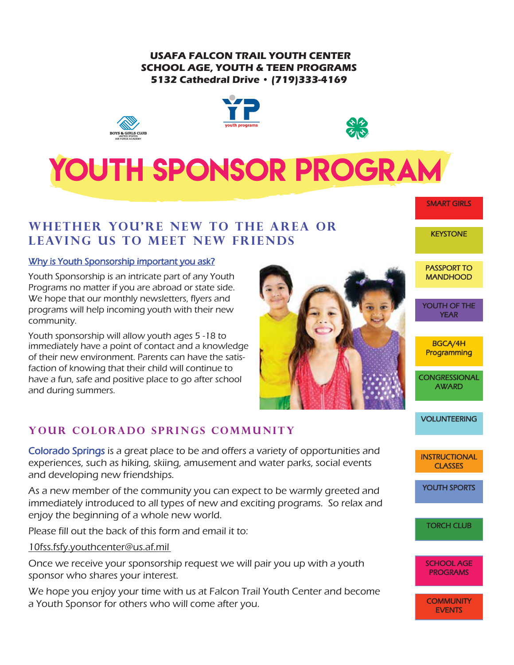#### **USAFA FALCON TRAIL YOUTH CENTER SCHOOL AGE, YOUTH & TEEN PROGRAMS 5132 Cathedral Drive • (719)333-4169**







## **WHETHER YOU'RE NEW TO THE AREA OR LEAVING US TO MEET NEW FRIENDS**

#### Why is Youth Sponsorship important you ask?

Youth Sponsorship is an intricate part of any Youth Programs no matter if you are abroad or state side. We hope that our monthly newsletters, flyers and programs will help incoming youth with their new community.

Youth sponsorship will allow youth ages 5 -18 to immediately have a point of contact and a knowledge of their new environment. Parents can have the satisfaction of knowing that their child will continue to have a fun, safe and positive place to go after school and during summers.

## YOUR COLORADO SPRINGS COMMUNITY

Colorado Springs is a great place to be and offers a variety of opportunities and experiences, such as hiking, skiing, amusement and water parks, social events and developing new friendships.

As a new member of the community you can expect to be warmly greeted and immediately introduced to all types of new and exciting programs. So relax and enjoy the beginning of a whole new world.

Please fill out the back of this form and email it to:

10fss.fsfy.youthcenter@us.af.mil

Once we receive your sponsorship request we will pair you up with a youth sponsor who shares your interest.

We hope you enjoy your time with us at Falcon Trail Youth Center and become a Youth Sponsor for others who will come after you.



PASSPORT TO **MANDHOOD** 

SMART GIRLS

**KEYSTONE** 

YOUTH OF THE YEAR

BGCA/4H **Programming** 

**CONGRESSIONAL AWARD** 

VOLUNTEERING

**INSTRUCTIONAL CLASSES** 

YOUTH SPORTS

TORCH CLUB

SCHOOL AGE PROGRAMS

**COMMUNITY EVENTS**